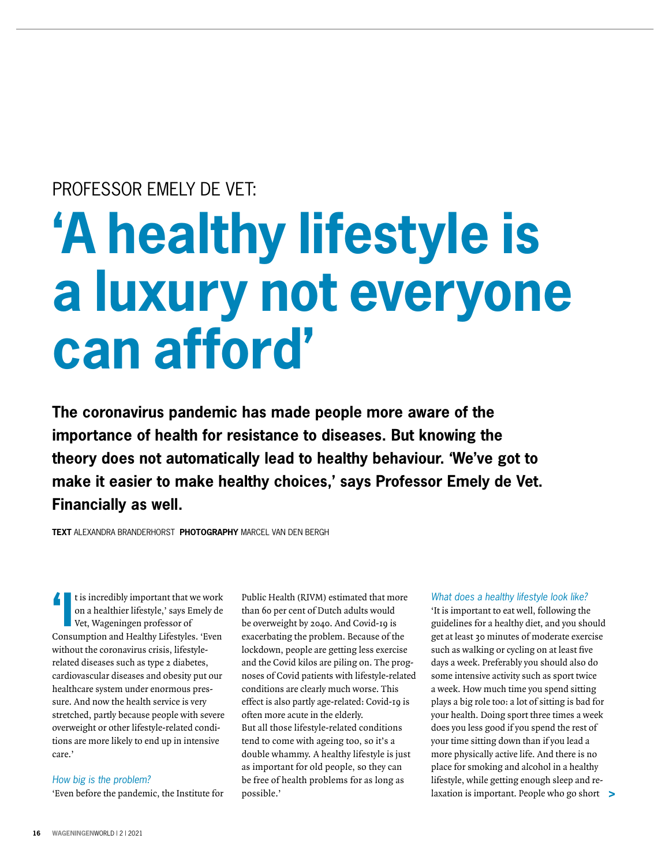## PROFESSOR EMELY DE VET:

# **'A healthy lifestyle is a luxury not everyone can afford'**

**The coronavirus pandemic has made people more aware of the importance of health for resistance to diseases. But knowing the theory does not automatically lead to healthy behaviour. 'We've got to make it easier to make healthy choices,' says Professor Emely de Vet. Financially as well.**

**TEXT** ALEXANDRA BRANDERHORST **PHOTOGRAPHY** MARCEL VAN DEN BERGH

**'I**t is incredibly important that we work on a healthier lifestyle,' says Emely de Vet, Wageningen professor of Consumption and Healthy Lifestyles. 'Even without the coronavirus crisis, lifestylerelated diseases such as type 2 diabetes, cardiovascular diseases and obesity put our healthcare system under enormous pressure. And now the health service is very stretched, partly because people with severe overweight or other lifestyle-related conditions are more likely to end up in intensive care.'

#### *How big is the problem?*

'Even before the pandemic, the Institute for

Public Health (RIVM) estimated that more than 60 per cent of Dutch adults would be overweight by 2040. And Covid-19 is exacerbating the problem. Because of the lockdown, people are getting less exercise and the Covid kilos are piling on. The prognoses of Covid patients with lifestyle-related conditions are clearly much worse. This effect is also partly age-related: Covid-19 is often more acute in the elderly. But all those lifestyle-related conditions tend to come with ageing too, so it's a double whammy. A healthy lifestyle is just as important for old people, so they can be free of health problems for as long as possible.'

#### *What does a healthy lifestyle look like?*

'It is important to eat well, following the guidelines for a healthy diet, and you should get at least 30 minutes of moderate exercise such as walking or cycling on at least five days a week. Preferably you should also do some intensive activity such as sport twice a week. How much time you spend sitting plays a big role too: a lot of sitting is bad for your health. Doing sport three times a week does you less good if you spend the rest of your time sitting down than if you lead a more physically active life. And there is no place for smoking and alcohol in a healthy lifestyle, while getting enough sleep and relaxation is important. People who go short **>**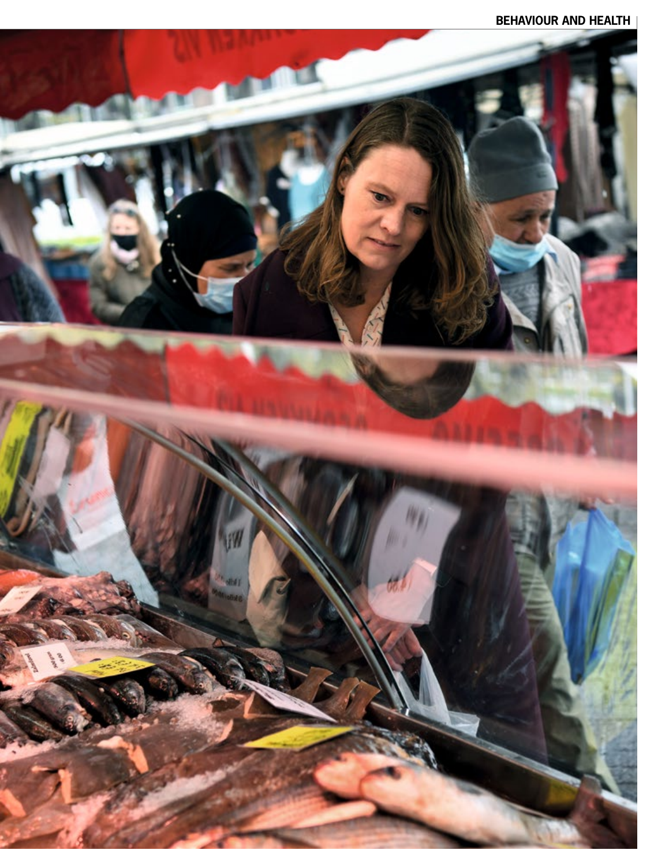## **BEHAVIOUR AND HEALTH**

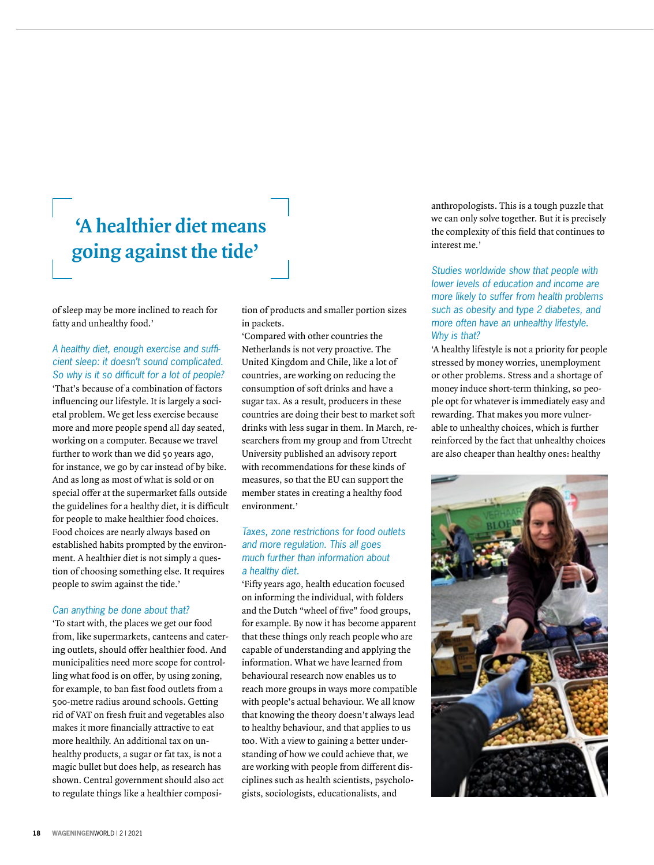# **'A healthier diet means going against the tide'**

of sleep may be more inclined to reach for fatty and unhealthy food.'

#### *A healthy diet, enough exercise and sufficient sleep: it doesn't sound complicated. So why is it so difficult for a lot of people?*

'That's because of a combination of factors influencing our lifestyle. It is largely a societal problem. We get less exercise because more and more people spend all day seated, working on a computer. Because we travel further to work than we did 50 years ago, for instance, we go by car instead of by bike. And as long as most of what is sold or on special offer at the supermarket falls outside the guidelines for a healthy diet, it is difficult for people to make healthier food choices. Food choices are nearly always based on established habits prompted by the environment. A healthier diet is not simply a question of choosing something else. It requires people to swim against the tide.'

#### *Can anything be done about that?*

'To start with, the places we get our food from, like supermarkets, canteens and catering outlets, should offer healthier food. And municipalities need more scope for controlling what food is on offer, by using zoning, for example, to ban fast food outlets from a 500-metre radius around schools. Getting rid of VAT on fresh fruit and vegetables also makes it more financially attractive to eat more healthily. An additional tax on unhealthy products, a sugar or fat tax, is not a magic bullet but does help, as research has shown. Central government should also act to regulate things like a healthier composition of products and smaller portion sizes in packets.

'Compared with other countries the Netherlands is not very proactive. The United Kingdom and Chile, like a lot of countries, are working on reducing the consumption of soft drinks and have a sugar tax. As a result, producers in these countries are doing their best to market soft drinks with less sugar in them. In March, researchers from my group and from Utrecht University published an advisory report with recommendations for these kinds of measures, so that the EU can support the member states in creating a healthy food environment.'

#### *Taxes, zone restrictions for food outlets and more regulation. This all goes much further than information about a healthy diet.*

'Fifty years ago, health education focused on informing the individual, with folders and the Dutch "wheel of five" food groups, for example. By now it has become apparent that these things only reach people who are capable of understanding and applying the information. What we have learned from behavioural research now enables us to reach more groups in ways more compatible with people's actual behaviour. We all know that knowing the theory doesn't always lead to healthy behaviour, and that applies to us too. With a view to gaining a better understanding of how we could achieve that, we are working with people from different disciplines such as health scientists, psychologists, sociologists, educationalists, and

anthropologists. This is a tough puzzle that we can only solve together. But it is precisely the complexity of this field that continues to interest me.'

*Studies worldwide show that people with lower levels of education and income are more likely to suffer from health problems such as obesity and type 2 diabetes, and more often have an unhealthy lifestyle. Why is that?* 

'A healthy lifestyle is not a priority for people stressed by money worries, unemployment or other problems. Stress and a shortage of money induce short-term thinking, so people opt for whatever is immediately easy and rewarding. That makes you more vulnerable to unhealthy choices, which is further reinforced by the fact that unhealthy choices are also cheaper than healthy ones: healthy